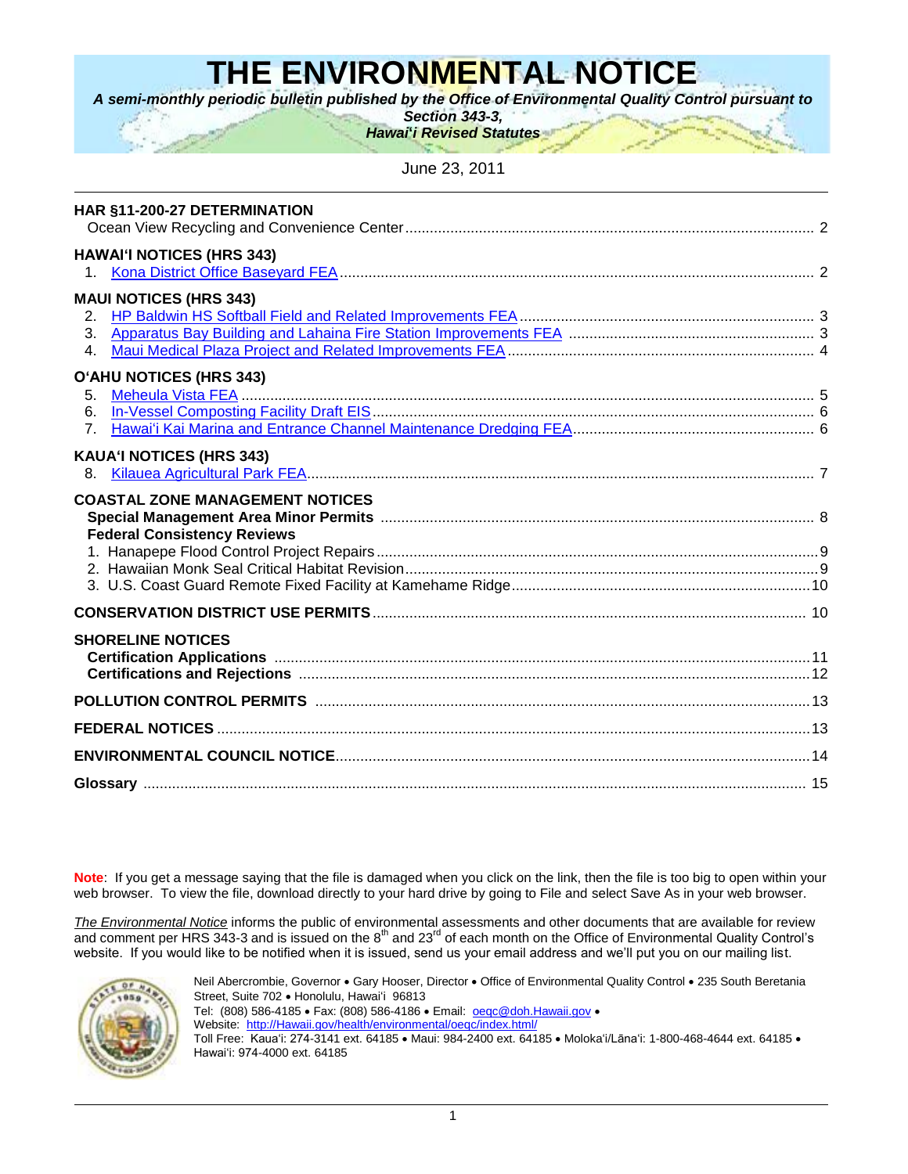# **THE ENVIRONMENTAL NOTICE**

*A semi-monthly periodic bulletin published by the Office of Environmental Quality Control pursuant to*

*Section 343-3, Hawai***'***i Revised Statutes*

June 23, 2011

| HAR §11-200-27 DETERMINATION                                                 |  |
|------------------------------------------------------------------------------|--|
| <b>HAWAI'I NOTICES (HRS 343)</b><br>$\mathbf{1}$ .                           |  |
| <b>MAUI NOTICES (HRS 343)</b><br>2.<br>3.<br>$\mathbf{4}$ .                  |  |
| O'AHU NOTICES (HRS 343)<br>5.<br>6.<br>7 <sub>1</sub>                        |  |
| <b>KAUA'I NOTICES (HRS 343)</b><br>8.                                        |  |
| <b>COASTAL ZONE MANAGEMENT NOTICES</b><br><b>Federal Consistency Reviews</b> |  |
|                                                                              |  |
| <b>SHORELINE NOTICES</b>                                                     |  |
|                                                                              |  |
|                                                                              |  |
|                                                                              |  |
|                                                                              |  |
|                                                                              |  |

**Note**: If you get a message saying that the file is damaged when you click on the link, then the file is too big to open within your web browser. To view the file, download directly to your hard drive by going to File and select Save As in your web browser.

*The Environmental Notice* informs the public of environmental assessments and other documents that are available for review and comment per HRS 343-3 and is issued on the  $8<sup>th</sup>$  and 23<sup>rd</sup> of each month on the Office of Environmental Quality Control's website. If you would like to be notified when it is issued, send us your email address and we'll put you on our mailing list.



Neil Abercrombie, Governor • Gary Hooser, Director • Office of Environmental Quality Control • 235 South Beretania Street, Suite 702 · Honolulu, Hawaiʻi 96813 Tel: (808) 586-4185 · Fax: (808) 586-4186 · Email: **oegc@doh.Hawaii.gov** · Website: [http://Hawaii.gov/health/environmental/oeqc/index.html/](http://hawaii.gov/health/environmental/oeqc/index.html/) Toll Free: Kaua'i: 274-3141 ext. 64185 · Maui: 984-2400 ext. 64185 · Moloka'i/Lāna'i: 1-800-468-4644 ext. 64185 · Hawai"i: 974-4000 ext. 64185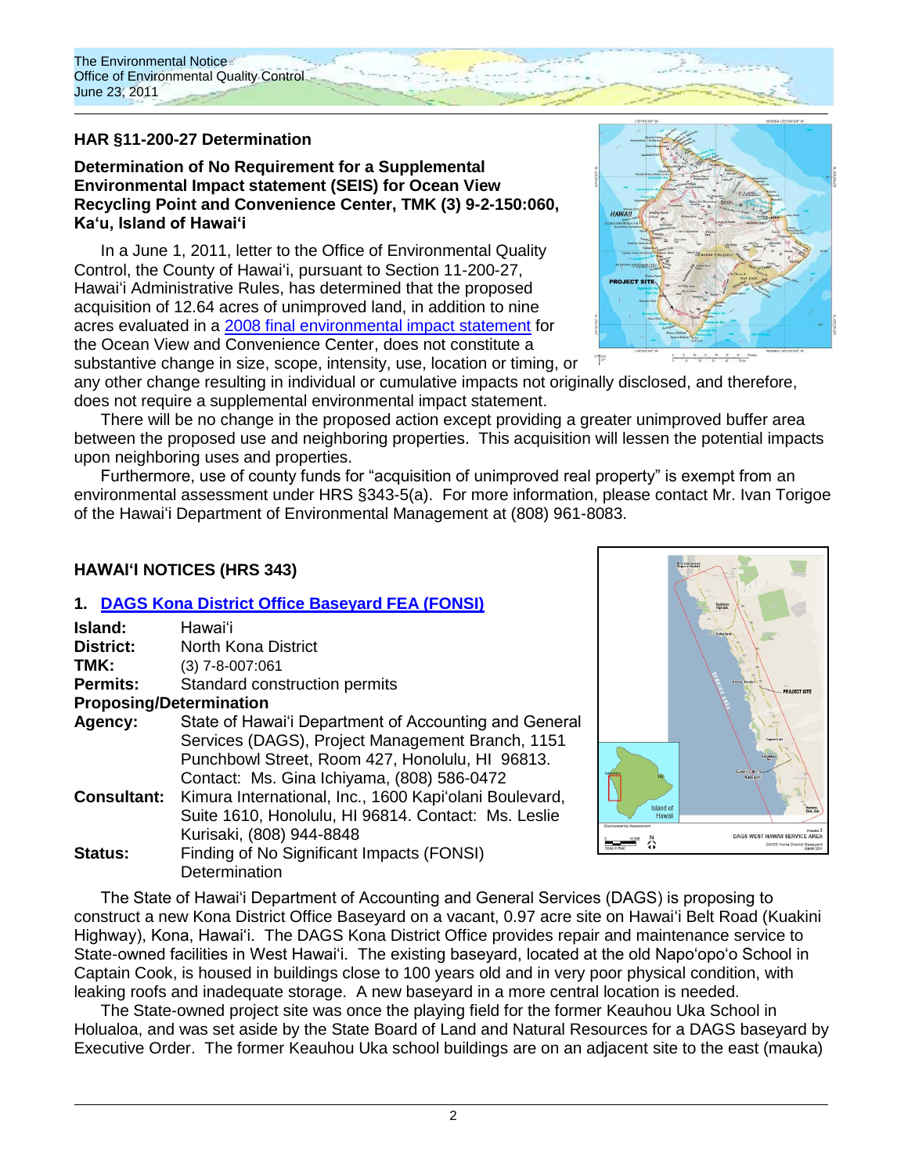

## **HAR §11-200-27 Determination**

**Determination of No Requirement for a Supplemental Environmental Impact statement (SEIS) for Ocean View Recycling Point and Convenience Center, TMK (3) 9-2-150:060, Kaʻu, Island of Hawaiʻi**

In a June 1, 2011, letter to the Office of Environmental Quality Control, the County of Hawaiʻi, pursuant to Section 11-200-27, Hawaiʻi Administrative Rules, has determined that the proposed acquisition of 12.64 acres of unimproved land, in addition to nine acres evaluated in a [2008 final environmental impact statement](http://oeqc.doh.hawaii.gov/Shared%20Documents/EA_and_EIS_Online_Library/Hawaii/2000s/2008-04-23-FEIS-Ocean-View-Recycling-Point-and-Convenience-Center.pdf) for the Ocean View and Convenience Center, does not constitute a

substantive change in size, scope, intensity, use, location or timing, or



any other change resulting in individual or cumulative impacts not originally disclosed, and therefore, does not require a supplemental environmental impact statement.

There will be no change in the proposed action except providing a greater unimproved buffer area between the proposed use and neighboring properties. This acquisition will lessen the potential impacts upon neighboring uses and properties.

Furthermore, use of county funds for "acquisition of unimproved real property" is exempt from an environmental assessment under HRS §343-5(a). For more information, please contact Mr. Ivan Torigoe of the Hawaiʻi Department of Environmental Management at (808) 961-8083.

#### **HAWAI'I NOTICES (HRS 343)**

#### **1. [DAGS Kona District Office Baseyard](http://oeqc.doh.hawaii.gov/Shared%20Documents/EA_and_EIS_Online_Library/Hawaii/2010s/2011-06-23-FEA-DAGS-Kona-District-Office-Baseyard.pdf) FEA (FONSI)**

| Island:                        | Hawai'i                                                |  |
|--------------------------------|--------------------------------------------------------|--|
| <b>District:</b>               | North Kona District                                    |  |
| TMK:                           | $(3)$ 7-8-007:061                                      |  |
| <b>Permits:</b>                | Standard construction permits                          |  |
| <b>Proposing/Determination</b> |                                                        |  |
| Agency:                        | State of Hawai'i Department of Accounting and General  |  |
|                                | Services (DAGS), Project Management Branch, 1151       |  |
|                                | Punchbowl Street, Room 427, Honolulu, HI 96813.        |  |
|                                | Contact: Ms. Gina Ichiyama, (808) 586-0472             |  |
| <b>Consultant:</b>             | Kimura International, Inc., 1600 Kapi'olani Boulevard, |  |
|                                | Suite 1610, Honolulu, HI 96814. Contact: Ms. Leslie    |  |
|                                | Kurisaki, (808) 944-8848                               |  |
| Status:                        | Finding of No Significant Impacts (FONSI)              |  |
|                                | Determination                                          |  |



The State of Hawai"i Department of Accounting and General Services (DAGS) is proposing to construct a new Kona District Office Baseyard on a vacant, 0.97 acre site on Hawaiʻi Belt Road (Kuakini Highway), Kona, Hawai"i. The DAGS Kona District Office provides repair and maintenance service to State-owned facilities in West Hawai'i. The existing baseyard, located at the old Napo'opo'o School in Captain Cook, is housed in buildings close to 100 years old and in very poor physical condition, with leaking roofs and inadequate storage. A new baseyard in a more central location is needed.

The State-owned project site was once the playing field for the former Keauhou Uka School in Holualoa, and was set aside by the State Board of Land and Natural Resources for a DAGS baseyard by Executive Order. The former Keauhou Uka school buildings are on an adjacent site to the east (mauka)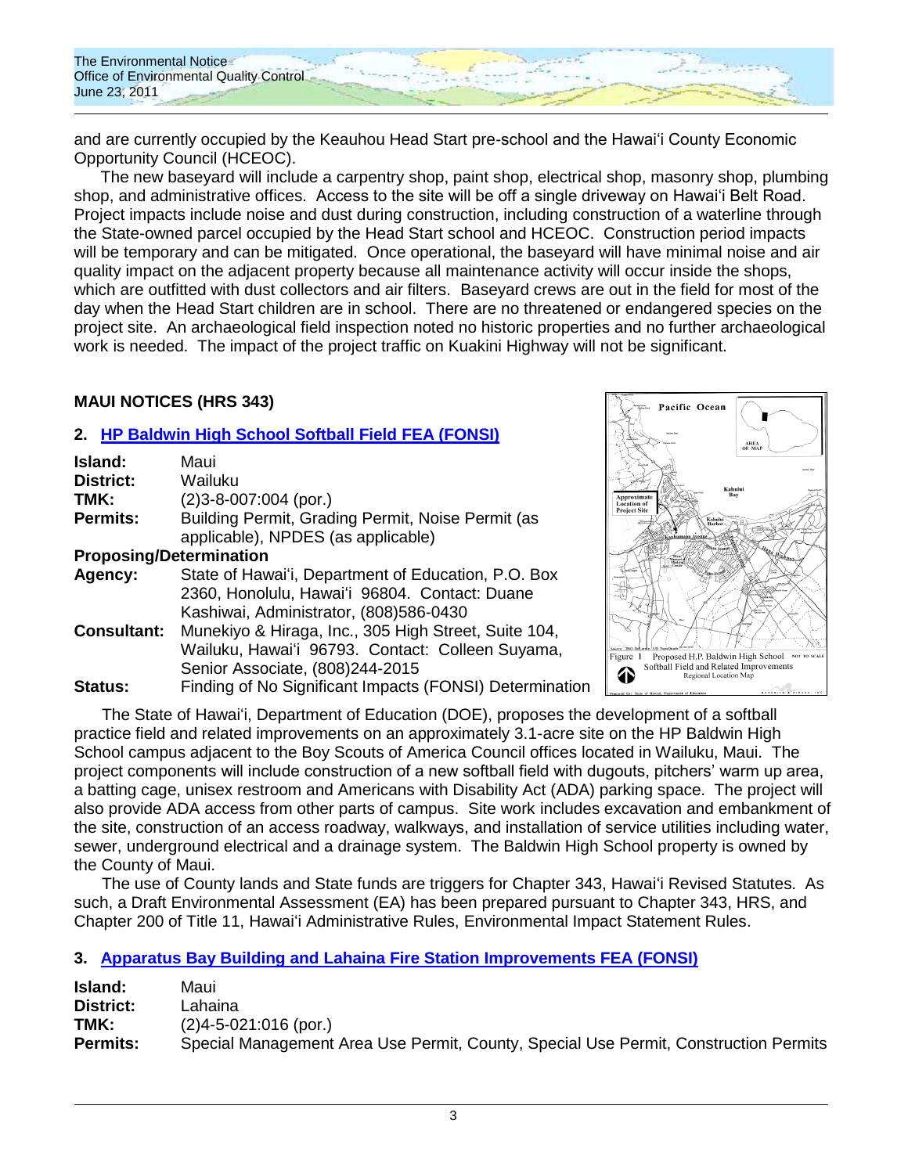

and are currently occupied by the Keauhou Head Start pre-school and the Hawai"i County Economic Opportunity Council (HCEOC).

The new baseyard will include a carpentry shop, paint shop, electrical shop, masonry shop, plumbing shop, and administrative offices. Access to the site will be off a single driveway on Hawai'i Belt Road. Project impacts include noise and dust during construction, including construction of a waterline through the State-owned parcel occupied by the Head Start school and HCEOC. Construction period impacts will be temporary and can be mitigated. Once operational, the baseyard will have minimal noise and air quality impact on the adjacent property because all maintenance activity will occur inside the shops, which are outfitted with dust collectors and air filters. Baseyard crews are out in the field for most of the day when the Head Start children are in school. There are no threatened or endangered species on the project site. An archaeological field inspection noted no historic properties and no further archaeological work is needed. The impact of the project traffic on Kuakini Highway will not be significant.

## **MAUI NOTICES (HRS 343)**

## **2. HP [Baldwin High School Softball Field](http://oeqc.doh.hawaii.gov/Shared%20Documents/EA_and_EIS_Online_Library/Maui/2010s/2011-06-23-FEA-HP-Baldwin-HS-Softball-Field-and-Related-Improvements.pdf) FEA (FONSI)**

| Island:                        | Maui                                                    |
|--------------------------------|---------------------------------------------------------|
| <b>District:</b>               | Wailuku                                                 |
| TMK:                           | $(2)3 - 8 - 007:004$ (por.)                             |
| <b>Permits:</b>                | Building Permit, Grading Permit, Noise Permit (as       |
|                                | applicable), NPDES (as applicable)                      |
| <b>Proposing/Determination</b> |                                                         |
| Agency:                        | State of Hawai'i, Department of Education, P.O. Box     |
|                                | 2360, Honolulu, Hawai'i 96804. Contact: Duane           |
|                                | Kashiwai, Administrator, (808)586-0430                  |
| <b>Consultant:</b>             | Munekiyo & Hiraga, Inc., 305 High Street, Suite 104,    |
|                                | Wailuku, Hawai'i 96793. Contact: Colleen Suyama,        |
|                                | Senior Associate, (808)244-2015                         |
| Status:                        | Finding of No Significant Impacts (FONSI) Determination |



The State of Hawaiʻi, Department of Education (DOE), proposes the development of a softball practice field and related improvements on an approximately 3.1-acre site on the HP Baldwin High School campus adjacent to the Boy Scouts of America Council offices located in Wailuku, Maui. The project components will include construction of a new softball field with dugouts, pitchers" warm up area, a batting cage, unisex restroom and Americans with Disability Act (ADA) parking space. The project will also provide ADA access from other parts of campus. Site work includes excavation and embankment of the site, construction of an access roadway, walkways, and installation of service utilities including water, sewer, underground electrical and a drainage system. The Baldwin High School property is owned by the County of Maui.

The use of County lands and State funds are triggers for Chapter 343, Hawaiʻi Revised Statutes. As such, a Draft Environmental Assessment (EA) has been prepared pursuant to Chapter 343, HRS, and Chapter 200 of Title 11, Hawaiʻi Administrative Rules, Environmental Impact Statement Rules.

## **3. [Apparatus Bay Building and Lahaina Fire Station](http://oeqc.doh.hawaii.gov/Shared%20Documents/EA_and_EIS_Online_Library/Maui/2010s/2011-06-23-FEA-Apparatus-Bay-Building-and-Lahaina-Fire-Station-Improvements.pdf) Improvements FEA (FONSI)**

| Island:         | Maui                                                                                 |
|-----------------|--------------------------------------------------------------------------------------|
| District:       | ∟ahaina.                                                                             |
| TMK:            | $(2)4 - 5 - 021:016$ (por.)                                                          |
| <b>Permits:</b> | Special Management Area Use Permit, County, Special Use Permit, Construction Permits |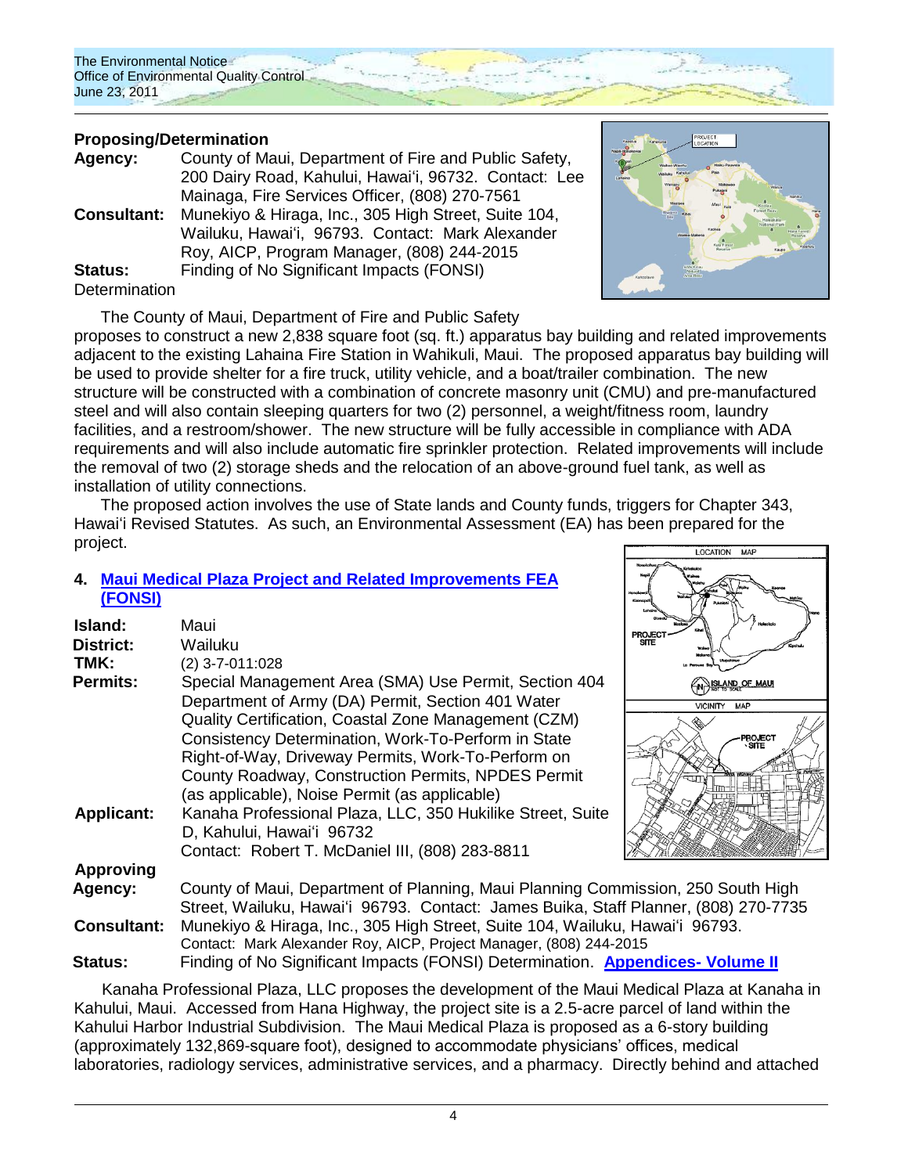The Environmental Notice Office of Environmental Quality Control June 23, 2011

## **Proposing/Determination**

| Agency:               | County of Maui, Department of Fire and Public Safety, |  |
|-----------------------|-------------------------------------------------------|--|
|                       | 200 Dairy Road, Kahului, Hawai'i, 96732. Contact: Lee |  |
|                       | Mainaga, Fire Services Officer, (808) 270-7561        |  |
| <b>Consultant:</b>    | Munekiyo & Hiraga, Inc., 305 High Street, Suite 104,  |  |
|                       | Wailuku, Hawai'i, 96793. Contact: Mark Alexander      |  |
|                       | Roy, AICP, Program Manager, (808) 244-2015            |  |
| <b>Status:</b>        | Finding of No Significant Impacts (FONSI)             |  |
| $D = 1 + \frac{1}{2}$ |                                                       |  |

#### Determination

The County of Maui, Department of Fire and Public Safety



proposes to construct a new 2,838 square foot (sq. ft.) apparatus bay building and related improvements adjacent to the existing Lahaina Fire Station in Wahikuli, Maui. The proposed apparatus bay building will be used to provide shelter for a fire truck, utility vehicle, and a boat/trailer combination. The new structure will be constructed with a combination of concrete masonry unit (CMU) and pre-manufactured steel and will also contain sleeping quarters for two (2) personnel, a weight/fitness room, laundry facilities, and a restroom/shower. The new structure will be fully accessible in compliance with ADA requirements and will also include automatic fire sprinkler protection. Related improvements will include the removal of two (2) storage sheds and the relocation of an above-ground fuel tank, as well as installation of utility connections.

The proposed action involves the use of State lands and County funds, triggers for Chapter 343, Hawaiʻi Revised Statutes. As such, an Environmental Assessment (EA) has been prepared for the project.

## **4. [Maui Medical Plaza Project and Related Improvements](http://oeqc.doh.hawaii.gov/Shared%20Documents/EA_and_EIS_Online_Library/Maui/2010s/2011-06-23-FEA-Maui-Medical-Plaza-Project-Volume-I.pdf) FEA [\(FONSI\)](http://oeqc.doh.hawaii.gov/Shared%20Documents/EA_and_EIS_Online_Library/Maui/2010s/2011-06-23-FEA-Maui-Medical-Plaza-Project-Volume-I.pdf)**

| Island:            | Maui                                                          |  |
|--------------------|---------------------------------------------------------------|--|
| District:          | Wailuku                                                       |  |
| TMK:               | $(2)$ 3-7-011:028                                             |  |
| <b>Permits:</b>    | Special Management Area (SMA) Use Permit, Section 404         |  |
|                    | Department of Army (DA) Permit, Section 401 Water             |  |
|                    | Quality Certification, Coastal Zone Management (CZM)          |  |
|                    | Consistency Determination, Work-To-Perform in State           |  |
|                    | Right-of-Way, Driveway Permits, Work-To-Perform on            |  |
|                    | County Roadway, Construction Permits, NPDES Permit            |  |
|                    | (as applicable), Noise Permit (as applicable)                 |  |
| <b>Applicant:</b>  | Kanaha Professional Plaza, LLC, 350 Hukilike Street, Suite    |  |
|                    | D, Kahului, Hawai'i 96732                                     |  |
|                    | Contact: Robert T. McDaniel III, (808) 283-8811               |  |
| Approving          |                                                               |  |
| Agency:            | County of Maui, Department of Planning, Maui Planning Comr    |  |
|                    | Street, Wailuku, Hawai'i 96793. Contact: James Buika, Staff   |  |
| <b>Consultant:</b> | Munekivo & Hiraga, Inc., 305 High Street, Suite 104, Wailuku, |  |

LOCATION MAP **PROJEC** WELAND OF MAU VICINITY MAP

mission, 250 South High Planner, (808) 270-7735 **Hawai**'i 96793. Contact: Mark Alexander Roy, AICP, Project Manager, (808) 244-2015 **Status:** Finding of No Significant Impacts (FONSI) Determination. **[Appendices-](http://oeqc.doh.hawaii.gov/Shared%20Documents/EA_and_EIS_Online_Library/Maui/2010s/2011-06-23-FEA-Maui-Medical-Plaza-Project-Volume-II.pdf) Volume II**

Kanaha Professional Plaza, LLC proposes the development of the Maui Medical Plaza at Kanaha in Kahului, Maui. Accessed from Hana Highway, the project site is a 2.5-acre parcel of land within the Kahului Harbor Industrial Subdivision. The Maui Medical Plaza is proposed as a 6-story building (approximately 132,869-square foot), designed to accommodate physicians" offices, medical laboratories, radiology services, administrative services, and a pharmacy. Directly behind and attached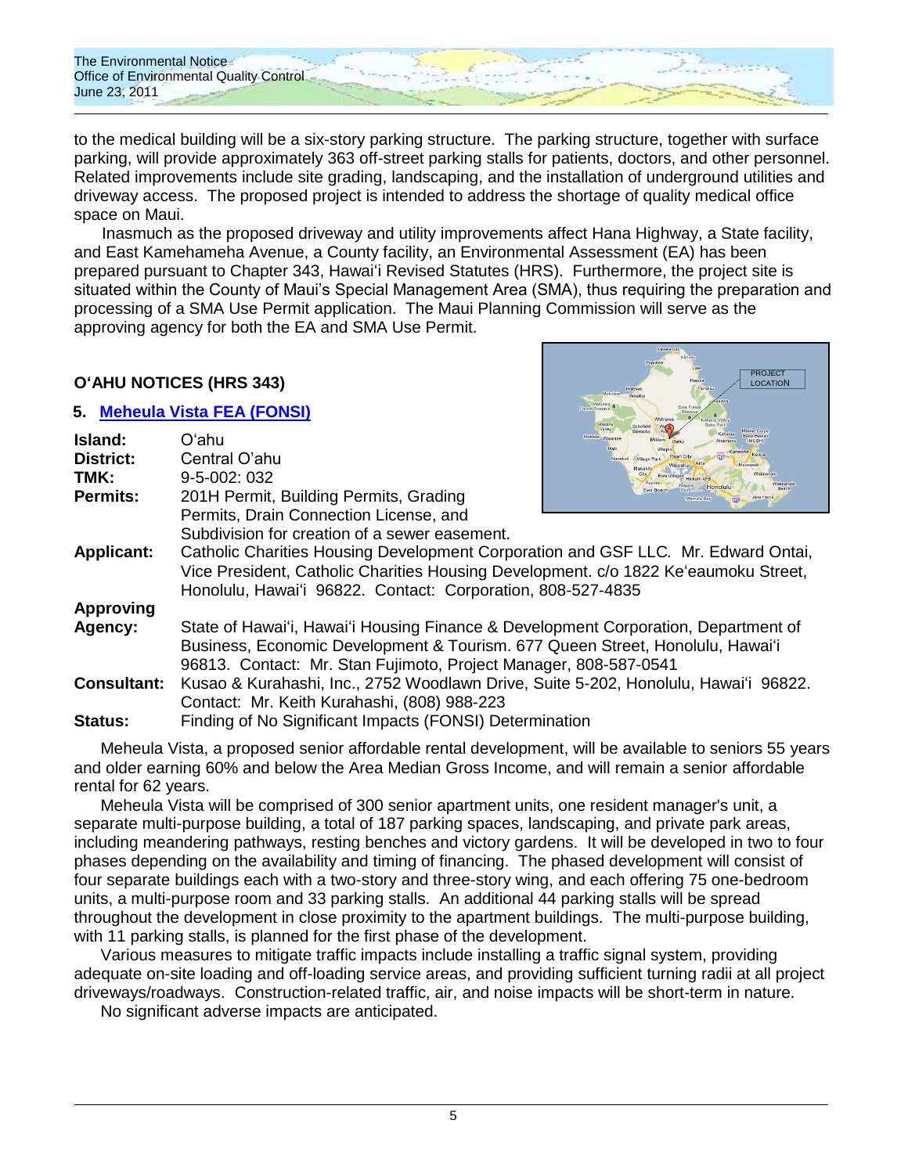The Environmental Notice **Office of Environmental Quality Control** June 23, 2011

to the medical building will be a six-story parking structure. The parking structure, together with surface parking, will provide approximately 363 off-street parking stalls for patients, doctors, and other personnel. Related improvements include site grading, landscaping, and the installation of underground utilities and driveway access. The proposed project is intended to address the shortage of quality medical office space on Maui.

Inasmuch as the proposed driveway and utility improvements affect Hana Highway, a State facility, and East Kamehameha Avenue, a County facility, an Environmental Assessment (EA) has been prepared pursuant to Chapter 343, Hawaiʻi Revised Statutes (HRS). Furthermore, the project site is situated within the County of Maui"s Special Management Area (SMA), thus requiring the preparation and processing of a SMA Use Permit application. The Maui Planning Commission will serve as the approving agency for both the EA and SMA Use Permit.

> PROJECT **LOCATION**

## **OʻAHU NOTICES (HRS 343)**

## **5. [Meheula Vista](http://oeqc.doh.hawaii.gov/Shared%20Documents/EA_and_EIS_Online_Library/Oahu/2010s/2011-06-23-FEA-Meheula-Vista.pdf) FEA (FONSI)**

| Island:            | Oʻahu                                                                                                                                              | Makaha<br>Marine Corps<br>Makaha Waiana |  |
|--------------------|----------------------------------------------------------------------------------------------------------------------------------------------------|-----------------------------------------|--|
| <b>District:</b>   | Central O'ahu                                                                                                                                      | Nanakul<br>Vilage Par<br>Vaipahu        |  |
| TMK:               | $9 - 5 - 002$ ; 032                                                                                                                                |                                         |  |
| <b>Permits:</b>    | 201H Permit, Building Permits, Grading                                                                                                             | Honolulu<br>Mamala Bay                  |  |
|                    | Permits, Drain Connection License, and                                                                                                             |                                         |  |
|                    | Subdivision for creation of a sewer easement.                                                                                                      |                                         |  |
| <b>Applicant:</b>  | Catholic Charities Housing Development Corporation and GSF LLC. Mr. Edward Ontai,                                                                  |                                         |  |
|                    | Vice President, Catholic Charities Housing Development. c/o 1822 Ke'eaumoku Street,<br>Honolulu, Hawai'i 96822. Contact: Corporation, 808-527-4835 |                                         |  |
| <b>Approving</b>   |                                                                                                                                                    |                                         |  |
| Agency:            | State of Hawai'i, Hawai'i Housing Finance & Development Corporation, Department of                                                                 |                                         |  |
|                    | Business, Economic Development & Tourism. 677 Queen Street, Honolulu, Hawai'i                                                                      |                                         |  |
|                    | 96813. Contact: Mr. Stan Fujimoto, Project Manager, 808-587-0541                                                                                   |                                         |  |
| <b>Consultant:</b> | Kusao & Kurahashi, Inc., 2752 Woodlawn Drive, Suite 5-202, Honolulu, Hawai'i 96822.                                                                |                                         |  |
|                    | Contact: Mr. Keith Kurahashi, (808) 988-223                                                                                                        |                                         |  |
| Status:            | Finding of No Significant Impacts (FONSI) Determination                                                                                            |                                         |  |

Meheula Vista, a proposed senior affordable rental development, will be available to seniors 55 years and older earning 60% and below the Area Median Gross Income, and will remain a senior affordable rental for 62 years.

Meheula Vista will be comprised of 300 senior apartment units, one resident manager's unit, a separate multi-purpose building, a total of 187 parking spaces, landscaping, and private park areas, including meandering pathways, resting benches and victory gardens. It will be developed in two to four phases depending on the availability and timing of financing. The phased development will consist of four separate buildings each with a two-story and three-story wing, and each offering 75 one-bedroom units, a multi-purpose room and 33 parking stalls. An additional 44 parking stalls will be spread throughout the development in close proximity to the apartment buildings. The multi-purpose building, with 11 parking stalls, is planned for the first phase of the development.

Various measures to mitigate traffic impacts include installing a traffic signal system, providing adequate on-site loading and off-loading service areas, and providing sufficient turning radii at all project driveways/roadways. Construction-related traffic, air, and noise impacts will be short-term in nature.

No significant adverse impacts are anticipated.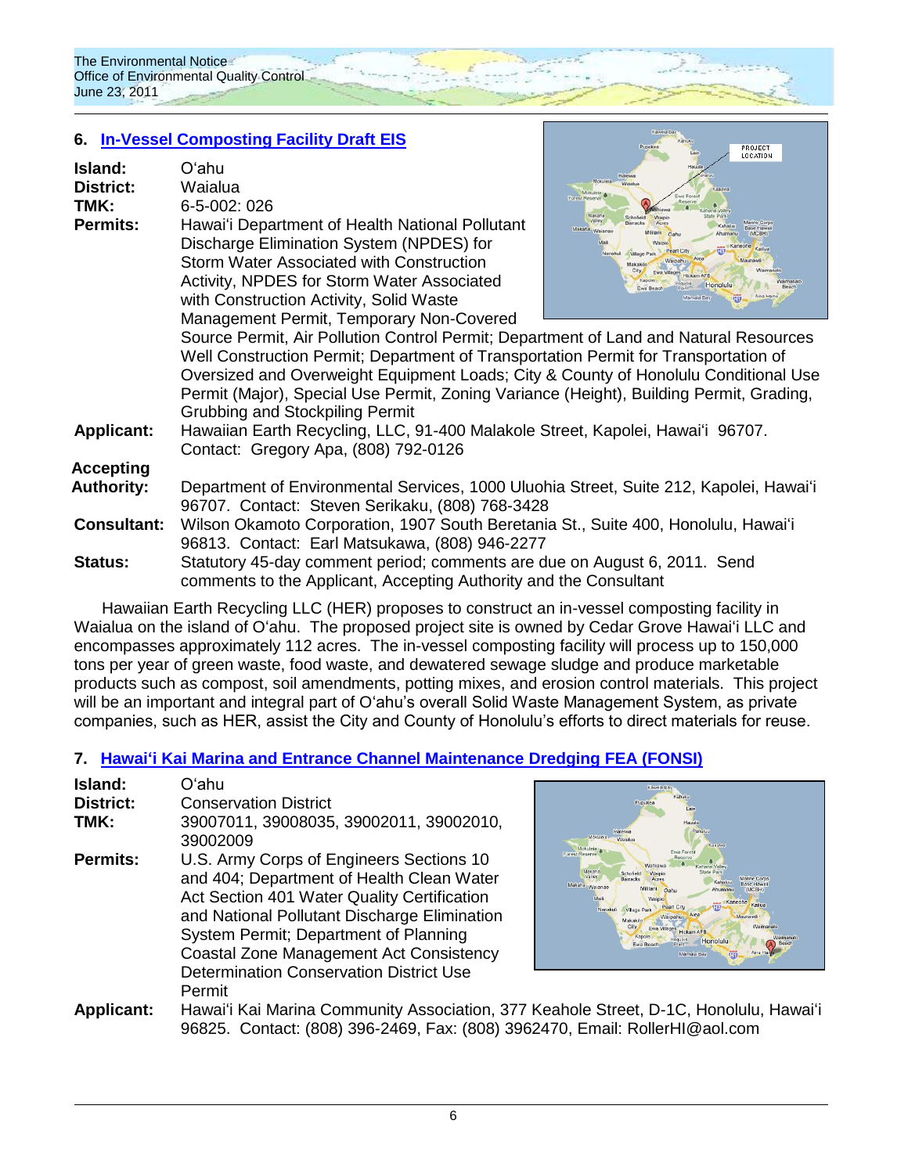## **6. [In-Vessel Composting Facility](http://oeqc.doh.hawaii.gov/Shared%20Documents/EA_and_EIS_Online_Library/Oahu/2010s/2011-06-23-DEIS-Waialua-In-Vessel-Composting-Facility.pdf) Draft EIS**

| Island:<br><b>District:</b><br>TMK:<br><b>Permits:</b> | Oʻahu<br>Waialua<br>6-5-002: 026<br>Hawai'i Department of Health National Pollutant<br>Discharge Elimination System (NPDES) for<br>Storm Water Associated with Construction<br>Activity, NPDES for Storm Water Associated<br>with Construction Activity, Solid Waste<br>Management Permit, Temporary Non-Covered                                                                                                                                                                                                                   | LOCATION<br>Hausk<br>Mokuleta <sup>1</sup><br>Mokuleia za<br>WA Forest<br>Forest Reserve<br>Reserve<br>Makaha<br>Schofield<br>Valley<br><b>Manne Corps</b><br>Makaha Waianar<br>(MCBH)<br>Kaitua<br>Village Park<br>Nanakuli<br>Maunawilli<br>Makakilo<br>Maimana<br><b>Hickam AFB</b><br>Honolulu<br>Aina Ha<br>Mamala Bay |  |
|--------------------------------------------------------|------------------------------------------------------------------------------------------------------------------------------------------------------------------------------------------------------------------------------------------------------------------------------------------------------------------------------------------------------------------------------------------------------------------------------------------------------------------------------------------------------------------------------------|-----------------------------------------------------------------------------------------------------------------------------------------------------------------------------------------------------------------------------------------------------------------------------------------------------------------------------|--|
| <b>Applicant:</b>                                      | Source Permit, Air Pollution Control Permit; Department of Land and Natural Resources<br>Well Construction Permit; Department of Transportation Permit for Transportation of<br>Oversized and Overweight Equipment Loads; City & County of Honolulu Conditional Use<br>Permit (Major), Special Use Permit, Zoning Variance (Height), Building Permit, Grading,<br><b>Grubbing and Stockpiling Permit</b><br>Hawaiian Earth Recycling, LLC, 91-400 Malakole Street, Kapolei, Hawai'i 96707.<br>Contact: Gregory Apa, (808) 792-0126 |                                                                                                                                                                                                                                                                                                                             |  |
| Accepting                                              |                                                                                                                                                                                                                                                                                                                                                                                                                                                                                                                                    |                                                                                                                                                                                                                                                                                                                             |  |
| <b>Authority:</b>                                      | Department of Environmental Services, 1000 Uluohia Street, Suite 212, Kapolei, Hawai'i<br>96707. Contact: Steven Serikaku, (808) 768-3428                                                                                                                                                                                                                                                                                                                                                                                          |                                                                                                                                                                                                                                                                                                                             |  |
| <b>Consultant:</b>                                     | Wilson Okamoto Corporation, 1907 South Beretania St., Suite 400, Honolulu, Hawai'i<br>96813. Contact: Earl Matsukawa, (808) 946-2277                                                                                                                                                                                                                                                                                                                                                                                               |                                                                                                                                                                                                                                                                                                                             |  |
| <b>Status:</b>                                         | Statutory 45-day comment period; comments are due on August 6, 2011. Send<br>comments to the Applicant, Accepting Authority and the Consultant                                                                                                                                                                                                                                                                                                                                                                                     |                                                                                                                                                                                                                                                                                                                             |  |
|                                                        |                                                                                                                                                                                                                                                                                                                                                                                                                                                                                                                                    |                                                                                                                                                                                                                                                                                                                             |  |

Hawaiian Earth Recycling LLC (HER) proposes to construct an in-vessel composting facility in Waialua on the island of Oʻahu. The proposed project site is owned by Cedar Grove Hawaiʻi LLC and encompasses approximately 112 acres. The in-vessel composting facility will process up to 150,000 tons per year of green waste, food waste, and dewatered sewage sludge and produce marketable products such as compost, soil amendments, potting mixes, and erosion control materials. This project will be an important and integral part of O'ahu's overall Solid Waste Management System, as private companies, such as HER, assist the City and County of Honolulu"s efforts to direct materials for reuse.

## **7. [Hawaiʻi Kai Marina and Entrance Channel Maintenance Dredging](http://oeqc.doh.hawaii.gov/Shared%20Documents/EA_and_EIS_Online_Library/Oahu/2010s/2011-06-23-FEA-Hawaii-Kai-Marina-Dredging.pdf) FEA (FONSI)**

| Island:           | Oʻahu                                                                                                                                                                                                                                                                    |                           |
|-------------------|--------------------------------------------------------------------------------------------------------------------------------------------------------------------------------------------------------------------------------------------------------------------------|---------------------------|
| <b>District:</b>  | <b>Conservation District</b>                                                                                                                                                                                                                                             |                           |
| TMK:              | 39007011, 39008035, 39002011, 39002010,<br>39002009                                                                                                                                                                                                                      |                           |
| <b>Permits:</b>   | U.S. Army Corps of Engineers Sections 10<br>and 404; Department of Health Clean Water<br>Act Section 401 Water Quality Certification<br>and National Pollutant Discharge Elimination<br>System Permit; Department of Planning<br>Coastal Zone Management Act Consistency | Mo<br>Forest Re<br>Makahı |
|                   | <b>Determination Conservation District Use</b>                                                                                                                                                                                                                           |                           |
|                   | Permit                                                                                                                                                                                                                                                                   |                           |
| <b>Applicant:</b> | Hawai'i Kai Marina Community Association, 377 Keahol                                                                                                                                                                                                                     |                           |



**2001EC** 

e Street, D-1C, Honolulu, Hawaiʻi 96825. Contact: (808) 396-2469, Fax: (808) 3962470, Email: RollerHI@aol.com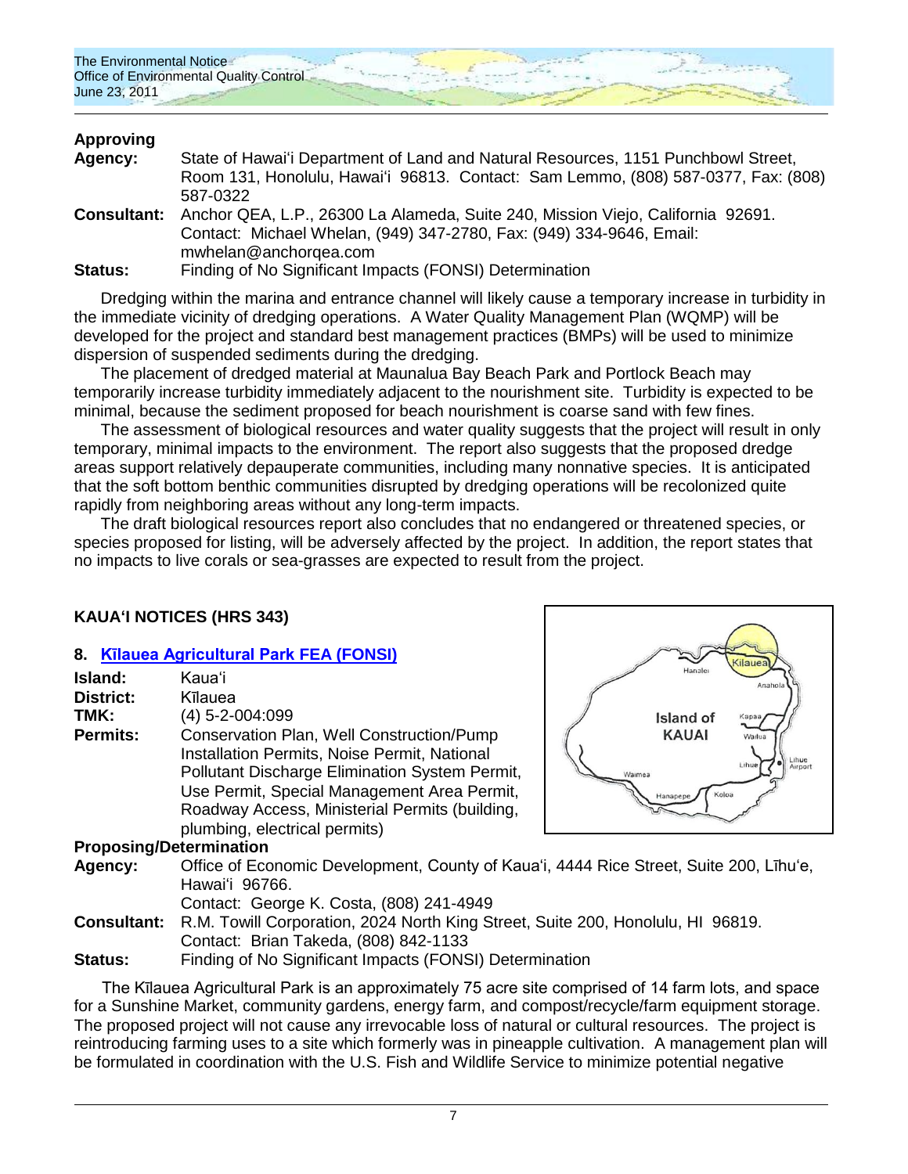## **Approving**

| Agency:        | State of Hawai'i Department of Land and Natural Resources, 1151 Punchbowl Street,           |  |  |
|----------------|---------------------------------------------------------------------------------------------|--|--|
|                | Room 131, Honolulu, Hawai'i 96813. Contact: Sam Lemmo, (808) 587-0377, Fax: (808)           |  |  |
|                | 587-0322                                                                                    |  |  |
|                | Consultant: Anchor QEA, L.P., 26300 La Alameda, Suite 240, Mission Viejo, California 92691. |  |  |
|                | Contact: Michael Whelan, (949) 347-2780, Fax: (949) 334-9646, Email:                        |  |  |
|                | mwhelan@anchorgea.com                                                                       |  |  |
| <b>Status:</b> | Finding of No Significant Impacts (FONSI) Determination                                     |  |  |

Dredging within the marina and entrance channel will likely cause a temporary increase in turbidity in the immediate vicinity of dredging operations. A Water Quality Management Plan (WQMP) will be developed for the project and standard best management practices (BMPs) will be used to minimize dispersion of suspended sediments during the dredging.

The placement of dredged material at Maunalua Bay Beach Park and Portlock Beach may temporarily increase turbidity immediately adjacent to the nourishment site. Turbidity is expected to be minimal, because the sediment proposed for beach nourishment is coarse sand with few fines.

The assessment of biological resources and water quality suggests that the project will result in only temporary, minimal impacts to the environment. The report also suggests that the proposed dredge areas support relatively depauperate communities, including many nonnative species. It is anticipated that the soft bottom benthic communities disrupted by dredging operations will be recolonized quite rapidly from neighboring areas without any long-term impacts.

The draft biological resources report also concludes that no endangered or threatened species, or species proposed for listing, will be adversely affected by the project. In addition, the report states that no impacts to live corals or sea-grasses are expected to result from the project.

## **KAUAʻI NOTICES (HRS 343)**

#### **8. [Kīlauea Agricultural Park](http://oeqc.doh.hawaii.gov/Shared%20Documents/EA_and_EIS_Online_Library/Kauai/2010s/2011-06-23-FEA-Kilauea-Agricultural%20Park.pdf) FEA (FONSI)**

| Island:          | Kaua'i                                                                                                                                                                                                                                                                        |
|------------------|-------------------------------------------------------------------------------------------------------------------------------------------------------------------------------------------------------------------------------------------------------------------------------|
| <b>District:</b> | Kīlauea                                                                                                                                                                                                                                                                       |
| TMK:             | $(4)$ 5-2-004:099                                                                                                                                                                                                                                                             |
| <b>Permits:</b>  | Conservation Plan, Well Construction/Pump<br>Installation Permits, Noise Permit, National<br>Pollutant Discharge Elimination System Permit,<br>Use Permit, Special Management Area Permit,<br>Roadway Access, Ministerial Permits (building,<br>plumbing, electrical permits) |

#### **Proposing/Determination**

- **Agency:** Office of Economic Development, County of Kaua"i, 4444 Rice Street, Suite 200, Līhu"e, Hawaiʻi 96766.
	- Contact: George K. Costa, (808) 241-4949
- **Consultant:** R.M. Towill Corporation, 2024 North King Street, Suite 200, Honolulu, HI 96819. Contact: Brian Takeda, (808) 842-1133
- **Status:** Finding of No Significant Impacts (FONSI) Determination

The Kīlauea Agricultural Park is an approximately 75 acre site comprised of 14 farm lots, and space for a Sunshine Market, community gardens, energy farm, and compost/recycle/farm equipment storage. The proposed project will not cause any irrevocable loss of natural or cultural resources. The project is reintroducing farming uses to a site which formerly was in pineapple cultivation. A management plan will be formulated in coordination with the U.S. Fish and Wildlife Service to minimize potential negative

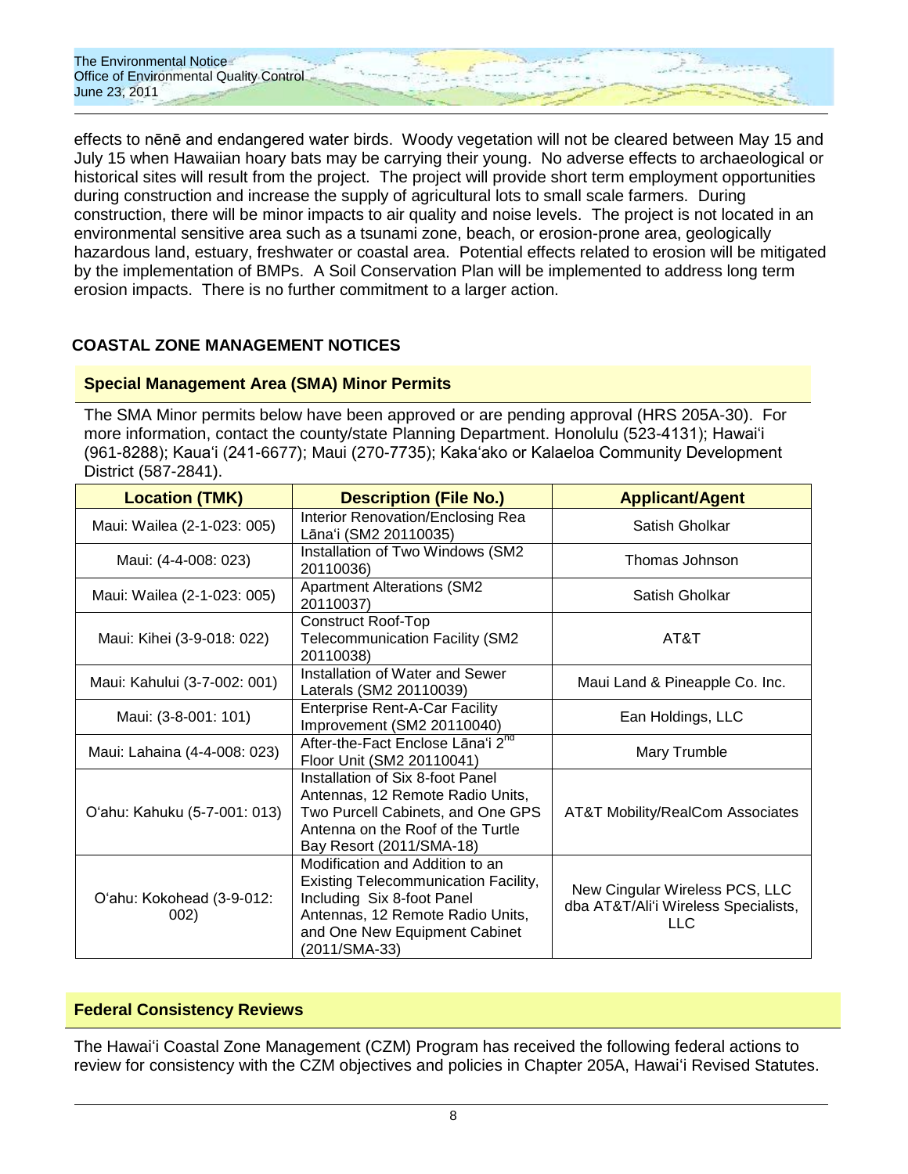

effects to nēnē and endangered water birds. Woody vegetation will not be cleared between May 15 and July 15 when Hawaiian hoary bats may be carrying their young. No adverse effects to archaeological or historical sites will result from the project. The project will provide short term employment opportunities during construction and increase the supply of agricultural lots to small scale farmers. During construction, there will be minor impacts to air quality and noise levels. The project is not located in an environmental sensitive area such as a tsunami zone, beach, or erosion-prone area, geologically hazardous land, estuary, freshwater or coastal area. Potential effects related to erosion will be mitigated by the implementation of BMPs. A Soil Conservation Plan will be implemented to address long term erosion impacts. There is no further commitment to a larger action.

## **COASTAL ZONE MANAGEMENT NOTICES**

#### **Special Management Area (SMA) Minor Permits**

The SMA Minor permits below have been approved or are pending approval (HRS 205A-30). For more information, contact the county/state Planning Department. Honolulu (523-4131); Hawai"i (961-8288); Kaua"i (241-6677); Maui (270-7735); Kaka"ako or Kalaeloa Community Development District (587-2841).

| <b>Location (TMK)</b>             | <b>Description (File No.)</b>                                                                                                                                                                      | <b>Applicant/Agent</b>                                                               |
|-----------------------------------|----------------------------------------------------------------------------------------------------------------------------------------------------------------------------------------------------|--------------------------------------------------------------------------------------|
| Maui: Wailea (2-1-023: 005)       | Interior Renovation/Enclosing Rea<br>Lāna'i (SM2 20110035)                                                                                                                                         | Satish Gholkar                                                                       |
| Maui: (4-4-008: 023)              | Installation of Two Windows (SM2<br>20110036)                                                                                                                                                      | Thomas Johnson                                                                       |
| Maui: Wailea (2-1-023: 005)       | <b>Apartment Alterations (SM2</b><br>20110037)                                                                                                                                                     | Satish Gholkar                                                                       |
| Maui: Kihei (3-9-018: 022)        | Construct Roof-Top<br>Telecommunication Facility (SM2<br>20110038)                                                                                                                                 | AT&T                                                                                 |
| Maui: Kahului (3-7-002: 001)      | Installation of Water and Sewer<br>Laterals (SM2 20110039)                                                                                                                                         | Maui Land & Pineapple Co. Inc.                                                       |
| Maui: (3-8-001: 101)              | <b>Enterprise Rent-A-Car Facility</b><br>Improvement (SM2 20110040)                                                                                                                                | Ean Holdings, LLC                                                                    |
| Maui: Lahaina (4-4-008: 023)      | After-the-Fact Enclose Lana'i 2 <sup>nd</sup><br>Floor Unit (SM2 20110041)                                                                                                                         | Mary Trumble                                                                         |
| O'ahu: Kahuku (5-7-001: 013)      | Installation of Six 8-foot Panel<br>Antennas, 12 Remote Radio Units,<br>Two Purcell Cabinets, and One GPS<br>Antenna on the Roof of the Turtle<br>Bay Resort (2011/SMA-18)                         | <b>AT&amp;T Mobility/RealCom Associates</b>                                          |
| O'ahu: Kokohead (3-9-012:<br>002) | Modification and Addition to an<br><b>Existing Telecommunication Facility,</b><br>Including Six 8-foot Panel<br>Antennas, 12 Remote Radio Units,<br>and One New Equipment Cabinet<br>(2011/SMA-33) | New Cingular Wireless PCS, LLC<br>dba AT&T/Ali'i Wireless Specialists,<br><b>LLC</b> |

#### **Federal Consistency Reviews**

The Hawaiʻi Coastal Zone Management (CZM) Program has received the following federal actions to review for consistency with the CZM objectives and policies in Chapter 205A, Hawaiʻi Revised Statutes.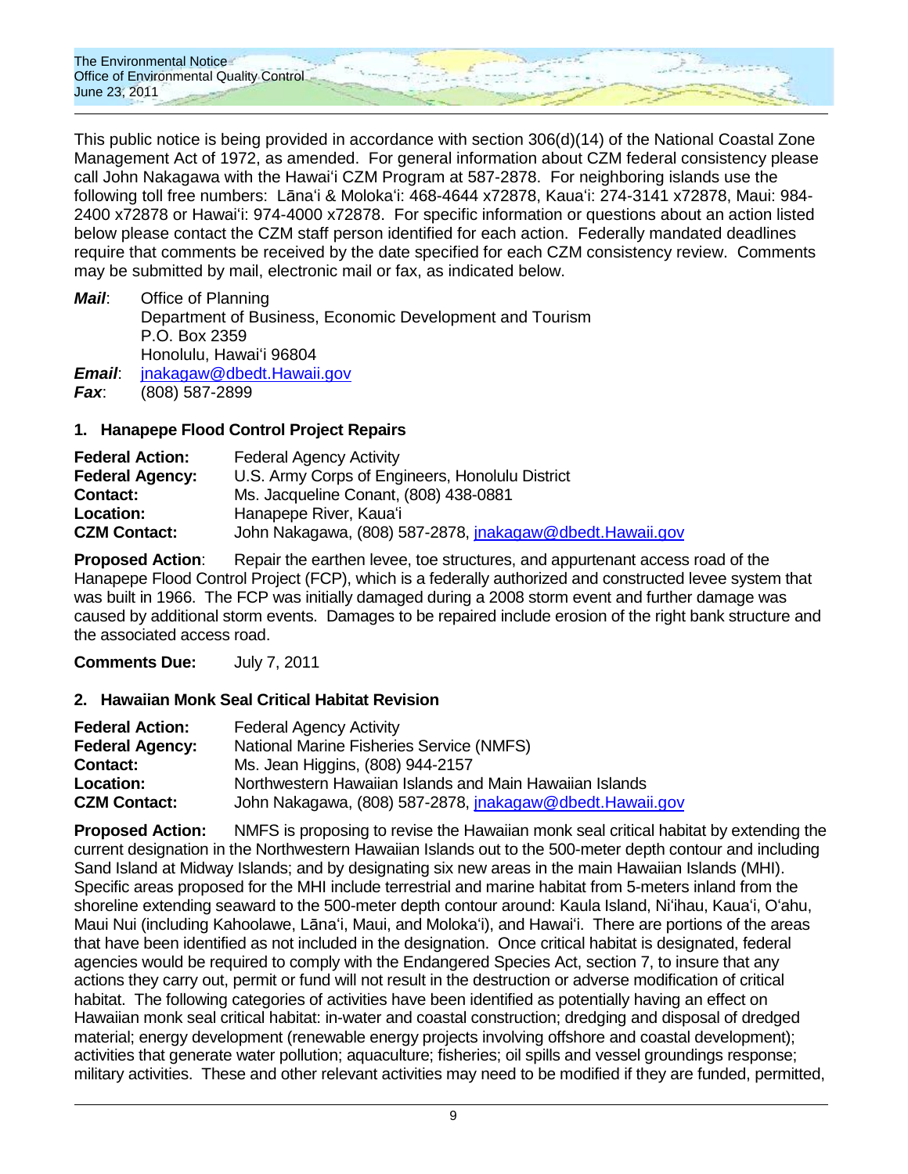

This public notice is being provided in accordance with section 306(d)(14) of the National Coastal Zone Management Act of 1972, as amended. For general information about CZM federal consistency please call John Nakagawa with the Hawaiʻi CZM Program at 587-2878. For neighboring islands use the following toll free numbers: Lānaʻi & Molokaʻi: 468-4644 x72878, Kauaʻi: 274-3141 x72878, Maui: 984- 2400 x72878 or Hawaiʻi: 974-4000 x72878. For specific information or questions about an action listed below please contact the CZM staff person identified for each action. Federally mandated deadlines require that comments be received by the date specified for each CZM consistency review. Comments may be submitted by mail, electronic mail or fax, as indicated below.

*Mail*: Office of Planning Department of Business, Economic Development and Tourism P.O. Box 2359 Honolulu, Hawaiʻi 96804 *Email*: [jnakagaw@dbedt.Hawaii.gov](mailto:jnakagaw@dbedt.Hawaii.gov) *Fax*: (808) 587-2899

#### **1. Hanapepe Flood Control Project Repairs**

| <b>Federal Action:</b> | <b>Federal Agency Activity</b>                           |
|------------------------|----------------------------------------------------------|
| <b>Federal Agency:</b> | U.S. Army Corps of Engineers, Honolulu District          |
| <b>Contact:</b>        | Ms. Jacqueline Conant, (808) 438-0881                    |
| Location:              | Hanapepe River, Kaua'i                                   |
| <b>CZM Contact:</b>    | John Nakagawa, (808) 587-2878, jnakagaw@dbedt.Hawaii.gov |

**Proposed Action:** Repair the earthen levee, toe structures, and appurtenant access road of the Hanapepe Flood Control Project (FCP), which is a federally authorized and constructed levee system that was built in 1966. The FCP was initially damaged during a 2008 storm event and further damage was caused by additional storm events. Damages to be repaired include erosion of the right bank structure and the associated access road.

**Comments Due:** July 7, 2011

#### **2. Hawaiian Monk Seal Critical Habitat Revision**

| <b>Federal Action:</b> | <b>Federal Agency Activity</b>                           |
|------------------------|----------------------------------------------------------|
| <b>Federal Agency:</b> | National Marine Fisheries Service (NMFS)                 |
| <b>Contact:</b>        | Ms. Jean Higgins, (808) 944-2157                         |
| <b>Location:</b>       | Northwestern Hawaiian Islands and Main Hawaiian Islands  |
| <b>CZM Contact:</b>    | John Nakagawa, (808) 587-2878, jnakagaw@dbedt.Hawaii.gov |

**Proposed Action:** NMFS is proposing to revise the Hawaiian monk seal critical habitat by extending the current designation in the Northwestern Hawaiian Islands out to the 500-meter depth contour and including Sand Island at Midway Islands; and by designating six new areas in the main Hawaiian Islands (MHI). Specific areas proposed for the MHI include terrestrial and marine habitat from 5-meters inland from the shoreline extending seaward to the 500-meter depth contour around: Kaula Island, Niʻihau, Kauaʻi, Oʻahu, Maui Nui (including Kahoolawe, Lānaʻi, Maui, and Molokaʻi), and Hawaiʻi. There are portions of the areas that have been identified as not included in the designation. Once critical habitat is designated, federal agencies would be required to comply with the Endangered Species Act, section 7, to insure that any actions they carry out, permit or fund will not result in the destruction or adverse modification of critical habitat. The following categories of activities have been identified as potentially having an effect on Hawaiian monk seal critical habitat: in-water and coastal construction; dredging and disposal of dredged material; energy development (renewable energy projects involving offshore and coastal development); activities that generate water pollution; aquaculture; fisheries; oil spills and vessel groundings response; military activities. These and other relevant activities may need to be modified if they are funded, permitted,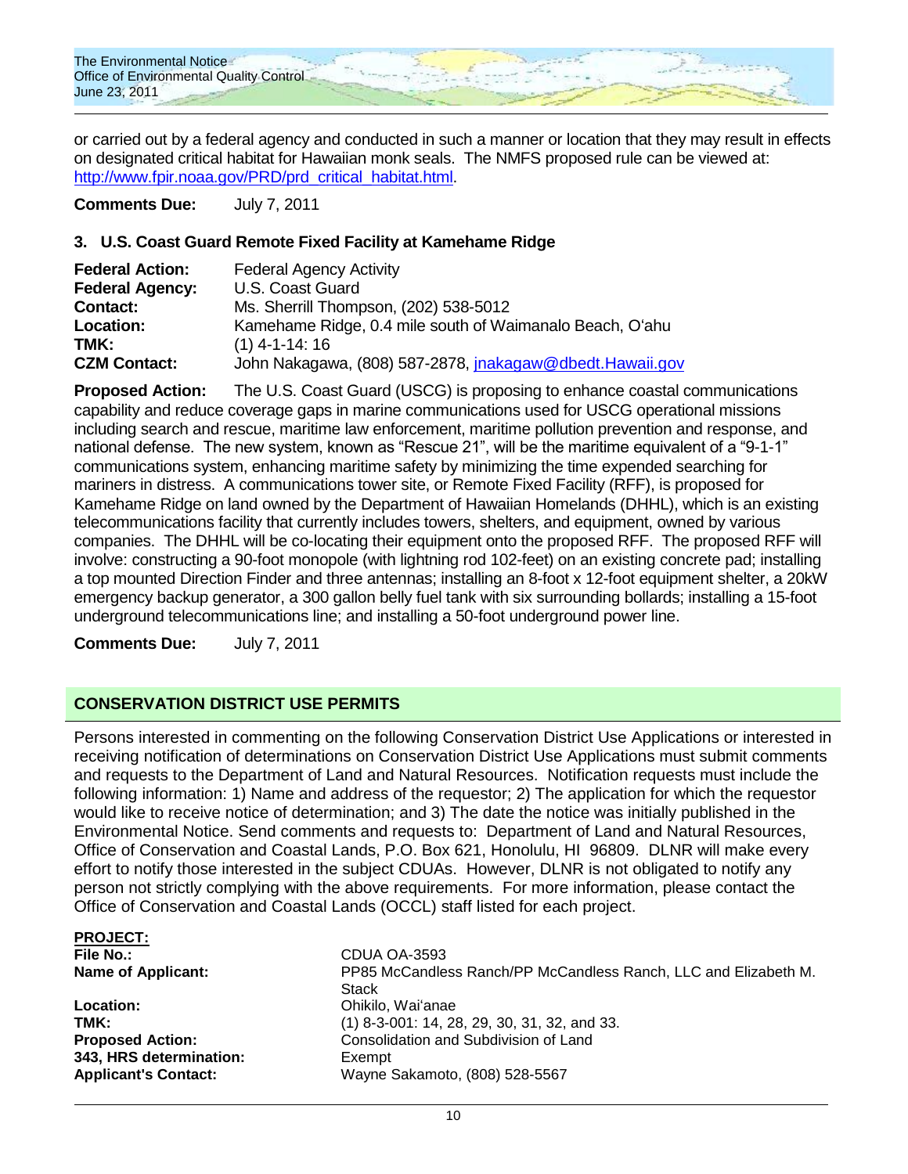

or carried out by a federal agency and conducted in such a manner or location that they may result in effects on designated critical habitat for Hawaiian monk seals. The NMFS proposed rule can be viewed at: [http://www.fpir.noaa.gov/PRD/prd\\_critical\\_habitat.html.](http://www.fpir.noaa.gov/PRD/prd_critical_habitat.html)

**Comments Due:** July 7, 2011

#### **3. U.S. Coast Guard Remote Fixed Facility at Kamehame Ridge**

| <b>Federal Action:</b> | <b>Federal Agency Activity</b>                           |
|------------------------|----------------------------------------------------------|
| <b>Federal Agency:</b> | U.S. Coast Guard                                         |
| <b>Contact:</b>        | Ms. Sherrill Thompson, (202) 538-5012                    |
| Location:              | Kamehame Ridge, 0.4 mile south of Waimanalo Beach, O'ahu |
| TMK:                   | $(1)$ 4-1-14: 16                                         |
| <b>CZM Contact:</b>    | John Nakagawa, (808) 587-2878, jnakagaw@dbedt.Hawaii.gov |

**Proposed Action:** The U.S. Coast Guard (USCG) is proposing to enhance coastal communications capability and reduce coverage gaps in marine communications used for USCG operational missions including search and rescue, maritime law enforcement, maritime pollution prevention and response, and national defense. The new system, known as "Rescue 21", will be the maritime equivalent of a "9-1-1" communications system, enhancing maritime safety by minimizing the time expended searching for mariners in distress. A communications tower site, or Remote Fixed Facility (RFF), is proposed for Kamehame Ridge on land owned by the Department of Hawaiian Homelands (DHHL), which is an existing telecommunications facility that currently includes towers, shelters, and equipment, owned by various companies. The DHHL will be co-locating their equipment onto the proposed RFF. The proposed RFF will involve: constructing a 90-foot monopole (with lightning rod 102-feet) on an existing concrete pad; installing a top mounted Direction Finder and three antennas; installing an 8-foot x 12-foot equipment shelter, a 20kW emergency backup generator, a 300 gallon belly fuel tank with six surrounding bollards; installing a 15-foot underground telecommunications line; and installing a 50-foot underground power line.

**Comments Due:** July 7, 2011

## **CONSERVATION DISTRICT USE PERMITS**

Persons interested in commenting on the following Conservation District Use Applications or interested in receiving notification of determinations on Conservation District Use Applications must submit comments and requests to the Department of Land and Natural Resources. Notification requests must include the following information: 1) Name and address of the requestor; 2) The application for which the requestor would like to receive notice of determination; and 3) The date the notice was initially published in the Environmental Notice. Send comments and requests to: Department of Land and Natural Resources, Office of Conservation and Coastal Lands, P.O. Box 621, Honolulu, HI 96809. DLNR will make every effort to notify those interested in the subject CDUAs. However, DLNR is not obligated to notify any person not strictly complying with the above requirements. For more information, please contact the Office of Conservation and Coastal Lands (OCCL) staff listed for each project.

| <b>PROJECT:</b>             |                                                                                 |
|-----------------------------|---------------------------------------------------------------------------------|
| File No.:                   | CDUA OA-3593                                                                    |
| <b>Name of Applicant:</b>   | PP85 McCandless Ranch/PP McCandless Ranch, LLC and Elizabeth M.<br><b>Stack</b> |
| Location:                   | Ohikilo, Wai'anae                                                               |
| TMK:                        | (1) 8-3-001: 14, 28, 29, 30, 31, 32, and 33.                                    |
| <b>Proposed Action:</b>     | Consolidation and Subdivision of Land                                           |
| 343, HRS determination:     | Exempt                                                                          |
| <b>Applicant's Contact:</b> | Wayne Sakamoto, (808) 528-5567                                                  |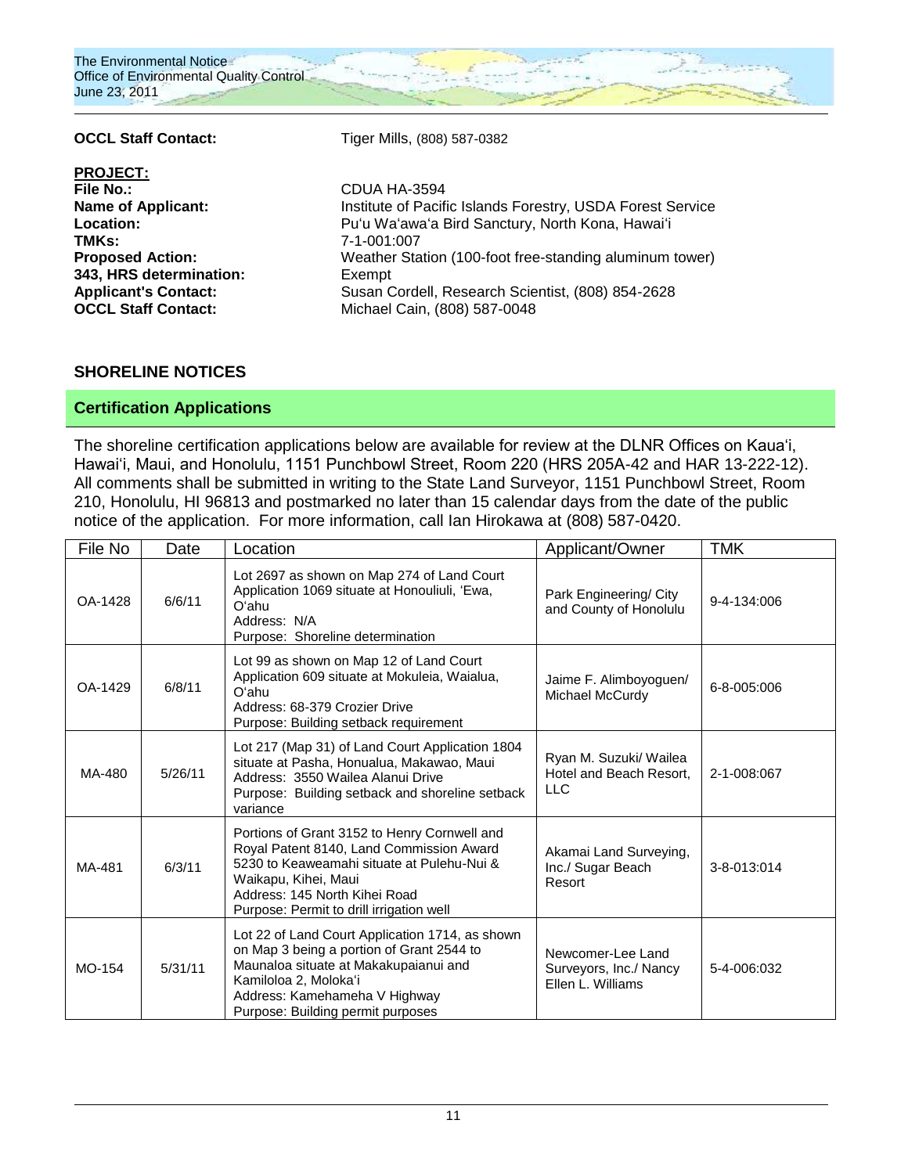

PROJECT:<br>File No.: **TMKs:** 7-1-001:007 **343, HRS determination:** Exempt **OCCL Staff Contact:** Michael Cain, (808) 587-0048

OCCL Staff Contact: Tiger Mills, (808) 587-0382

**File No.:** CDUA HA-3594 **Name of Applicant:** Institute of Pacific Islands Forestry, USDA Forest Service **Location:** Puʻu Waʻawaʻa Bird Sanctury, North Kona, Hawaiʻi **Proposed Action:** Weather Station (100-foot free-standing aluminum tower) **Applicant's Contact:** Susan Cordell, Research Scientist, (808) 854-2628

#### **SHORELINE NOTICES**

## **Certification Applications**

The shoreline certification applications below are available for review at the DLNR Offices on Kaua"i, Hawai"i, Maui, and Honolulu, 1151 Punchbowl Street, Room 220 (HRS 205A-42 and HAR 13-222-12). All comments shall be submitted in writing to the State Land Surveyor, 1151 Punchbowl Street, Room 210, Honolulu, HI 96813 and postmarked no later than 15 calendar days from the date of the public notice of the application. For more information, call Ian Hirokawa at (808) 587-0420.

| File No | Date    | Location                                                                                                                                                                                                                                    | Applicant/Owner                                                  | <b>TMK</b>  |
|---------|---------|---------------------------------------------------------------------------------------------------------------------------------------------------------------------------------------------------------------------------------------------|------------------------------------------------------------------|-------------|
| OA-1428 | 6/6/11  | Lot 2697 as shown on Map 274 of Land Court<br>Application 1069 situate at Honouliuli, 'Ewa,<br>O'ahu<br>Address: N/A<br>Purpose: Shoreline determination                                                                                    | Park Engineering/ City<br>and County of Honolulu                 | 9-4-134:006 |
| OA-1429 | 6/8/11  | Lot 99 as shown on Map 12 of Land Court<br>Application 609 situate at Mokuleia, Waialua,<br>O'ahu<br>Address: 68-379 Crozier Drive<br>Purpose: Building setback requirement                                                                 | Jaime F. Alimboyoguen/<br>Michael McCurdy                        | 6-8-005:006 |
| MA-480  | 5/26/11 | Lot 217 (Map 31) of Land Court Application 1804<br>situate at Pasha, Honualua, Makawao, Maui<br>Address: 3550 Wailea Alanui Drive<br>Purpose: Building setback and shoreline setback<br>variance                                            | Ryan M. Suzuki/ Wailea<br>Hotel and Beach Resort.<br><b>LLC</b>  | 2-1-008:067 |
| MA-481  | 6/3/11  | Portions of Grant 3152 to Henry Cornwell and<br>Royal Patent 8140, Land Commission Award<br>5230 to Keaweamahi situate at Pulehu-Nui &<br>Waikapu, Kihei, Maui<br>Address: 145 North Kihei Road<br>Purpose: Permit to drill irrigation well | Akamai Land Surveying,<br>Inc./ Sugar Beach<br>Resort            | 3-8-013:014 |
| MO-154  | 5/31/11 | Lot 22 of Land Court Application 1714, as shown<br>on Map 3 being a portion of Grant 2544 to<br>Maunaloa situate at Makakupaianui and<br>Kamiloloa 2, Moloka'i<br>Address: Kamehameha V Highway<br>Purpose: Building permit purposes        | Newcomer-Lee Land<br>Surveyors, Inc./ Nancy<br>Ellen L. Williams | 5-4-006:032 |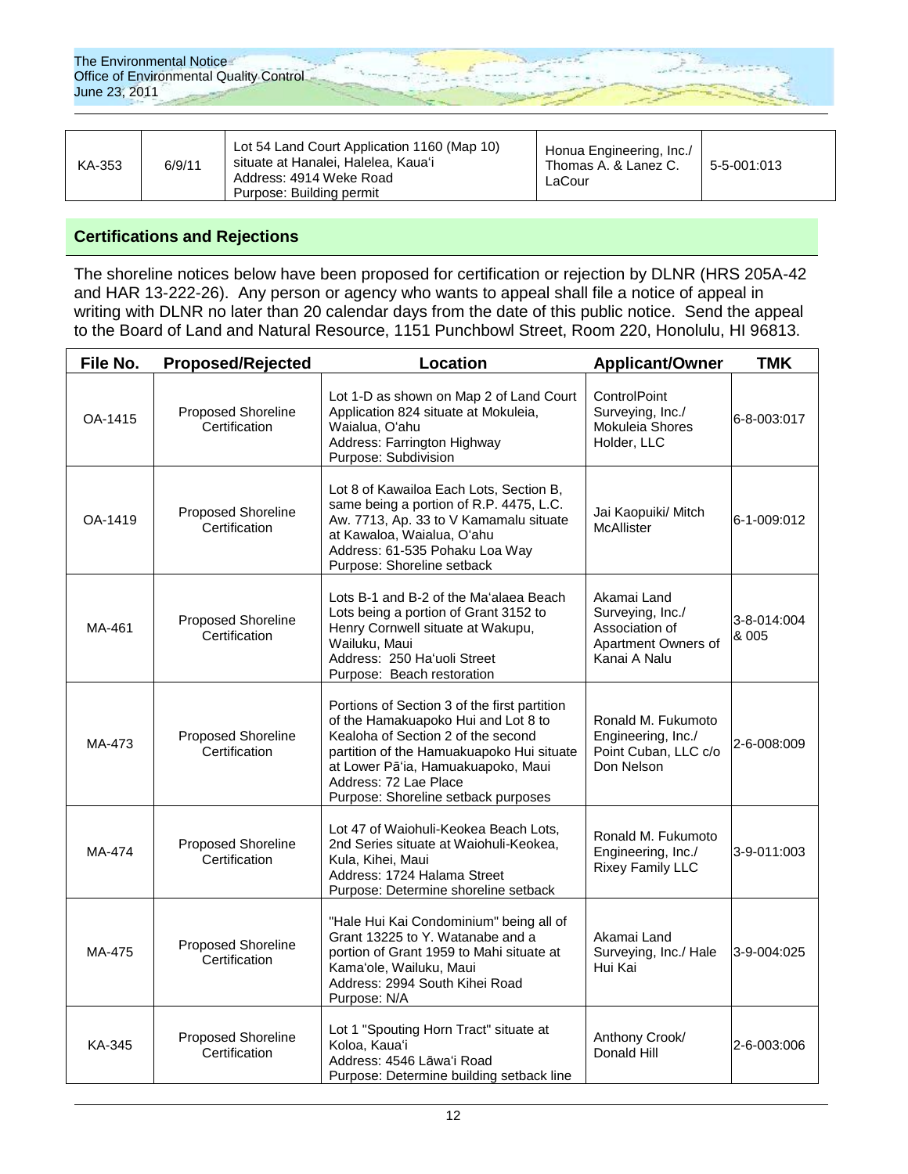| KA-353 | 6/9/11 | Lot 54 Land Court Application 1160 (Map 10)<br>situate at Hanalei, Halelea, Kaua'i<br>Address: 4914 Weke Road<br>Purpose: Building permit | Honua Engineering, Inc./<br>Thomas A. & Lanez C.<br>LaCour | 5-5-001:013 |
|--------|--------|-------------------------------------------------------------------------------------------------------------------------------------------|------------------------------------------------------------|-------------|
|--------|--------|-------------------------------------------------------------------------------------------------------------------------------------------|------------------------------------------------------------|-------------|

#### **Certifications and Rejections**

The shoreline notices below have been proposed for certification or rejection by DLNR (HRS 205A-42 and HAR 13-222-26). Any person or agency who wants to appeal shall file a notice of appeal in writing with DLNR no later than 20 calendar days from the date of this public notice. Send the appeal to the Board of Land and Natural Resource, 1151 Punchbowl Street, Room 220, Honolulu, HI 96813.

| File No. | <b>Proposed/Rejected</b>            | Location                                                                                                                                                                                                                                                                     | <b>Applicant/Owner</b>                                                                   | <b>TMK</b>           |
|----------|-------------------------------------|------------------------------------------------------------------------------------------------------------------------------------------------------------------------------------------------------------------------------------------------------------------------------|------------------------------------------------------------------------------------------|----------------------|
| OA-1415  | Proposed Shoreline<br>Certification | Lot 1-D as shown on Map 2 of Land Court<br>Application 824 situate at Mokuleia,<br>Waialua, O'ahu<br>Address: Farrington Highway<br>Purpose: Subdivision                                                                                                                     | ControlPoint<br>Surveying, Inc./<br>Mokuleia Shores<br>Holder, LLC                       | 6-8-003:017          |
| OA-1419  | Proposed Shoreline<br>Certification | Lot 8 of Kawailoa Each Lots, Section B,<br>same being a portion of R.P. 4475, L.C.<br>Aw. 7713, Ap. 33 to V Kamamalu situate<br>at Kawaloa, Waialua, O'ahu<br>Address: 61-535 Pohaku Loa Way<br>Purpose: Shoreline setback                                                   | Jai Kaopuiki/ Mitch<br>McAllister                                                        | 6-1-009:012          |
| MA-461   | Proposed Shoreline<br>Certification | Lots B-1 and B-2 of the Ma'alaea Beach<br>Lots being a portion of Grant 3152 to<br>Henry Cornwell situate at Wakupu,<br>Wailuku, Maui<br>Address: 250 Ha'uoli Street<br>Purpose: Beach restoration                                                                           | Akamai Land<br>Surveying, Inc./<br>Association of<br>Apartment Owners of<br>Kanai A Nalu | 3-8-014:004<br>& 005 |
| MA-473   | Proposed Shoreline<br>Certification | Portions of Section 3 of the first partition<br>of the Hamakuapoko Hui and Lot 8 to<br>Kealoha of Section 2 of the second<br>partition of the Hamuakuapoko Hui situate<br>at Lower Pā'ia, Hamuakuapoko, Maui<br>Address: 72 Lae Place<br>Purpose: Shoreline setback purposes | Ronald M. Fukumoto<br>Engineering, Inc./<br>Point Cuban, LLC c/o<br>Don Nelson           | 2-6-008:009          |
| MA-474   | Proposed Shoreline<br>Certification | Lot 47 of Waiohuli-Keokea Beach Lots,<br>2nd Series situate at Waiohuli-Keokea,<br>Kula, Kihei, Maui<br>Address: 1724 Halama Street<br>Purpose: Determine shoreline setback                                                                                                  | Ronald M. Fukumoto<br>Engineering, Inc./<br><b>Rixey Family LLC</b>                      | 3-9-011:003          |
| MA-475   | Proposed Shoreline<br>Certification | "Hale Hui Kai Condominium" being all of<br>Grant 13225 to Y. Watanabe and a<br>portion of Grant 1959 to Mahi situate at<br>Kama'ole, Wailuku, Maui<br>Address: 2994 South Kihei Road<br>Purpose: N/A                                                                         | Akamai Land<br>Surveying, Inc./ Hale<br>Hui Kai                                          | 3-9-004:025          |
| KA-345   | Proposed Shoreline<br>Certification | Lot 1 "Spouting Horn Tract" situate at<br>Koloa, Kaua'i<br>Address: 4546 Lāwa'i Road<br>Purpose: Determine building setback line                                                                                                                                             | Anthony Crook/<br>Donald Hill                                                            | 2-6-003:006          |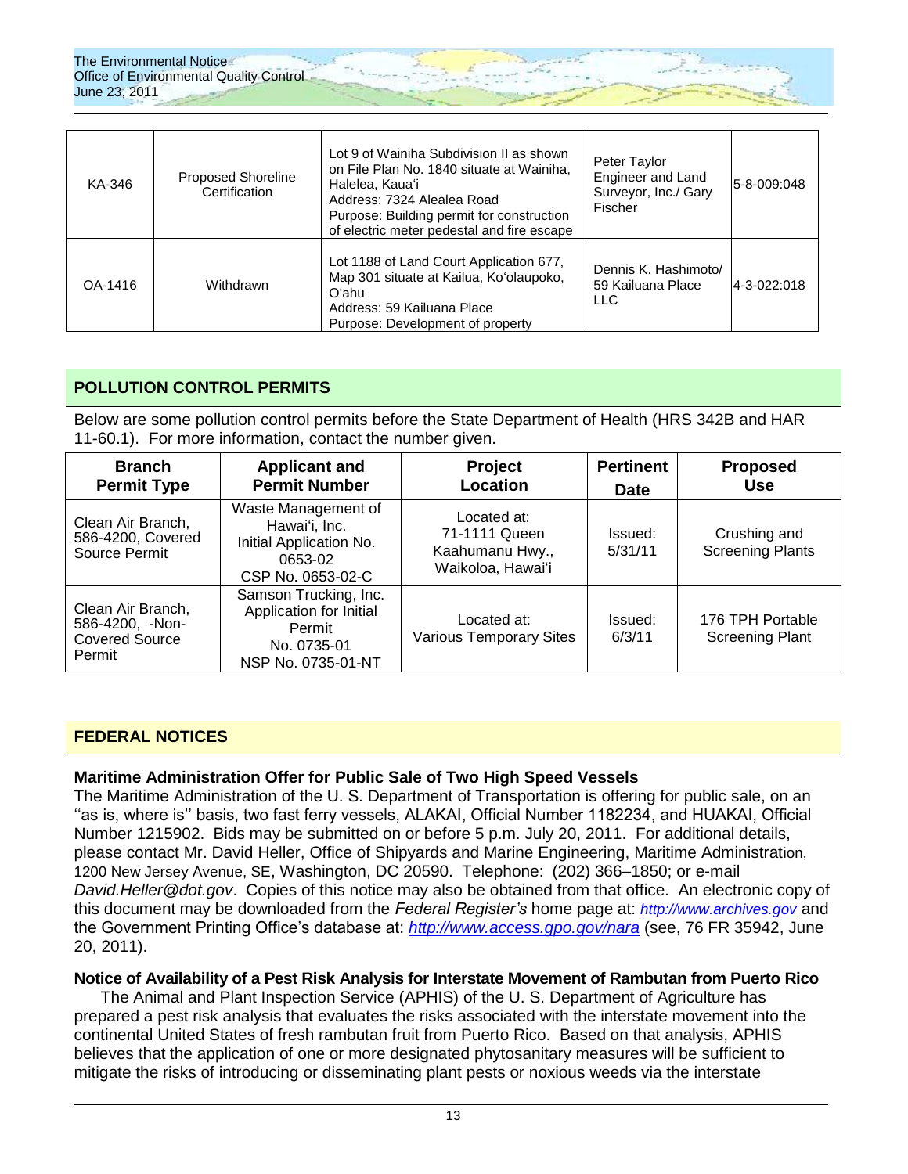

| KA-346  | <b>Proposed Shoreline</b><br>Certification | Lot 9 of Wainiha Subdivision II as shown<br>on File Plan No. 1840 situate at Wainiha.<br>Halelea, Kaua'i<br>Address: 7324 Alealea Road<br>Purpose: Building permit for construction<br>of electric meter pedestal and fire escape | Peter Taylor<br>Engineer and Land<br>Surveyor, Inc./ Gary<br>Fischer | 5-8-009:048 |
|---------|--------------------------------------------|-----------------------------------------------------------------------------------------------------------------------------------------------------------------------------------------------------------------------------------|----------------------------------------------------------------------|-------------|
| OA-1416 | Withdrawn                                  | Lot 1188 of Land Court Application 677,<br>Map 301 situate at Kailua, Ko'olaupoko,<br>Oʻahu.<br>Address: 59 Kailuana Place<br>Purpose: Development of property                                                                    | Dennis K. Hashimoto/<br>59 Kailuana Place<br><b>LLC</b>              | 4-3-022:018 |

## **POLLUTION CONTROL PERMITS**

Below are some pollution control permits before the State Department of Health (HRS 342B and HAR 11-60.1). For more information, contact the number given.

| <b>Branch</b><br><b>Permit Type</b>                                     | <b>Applicant and</b><br><b>Permit Number</b>                                                    | <b>Project</b><br>Location                                           | <b>Pertinent</b><br><b>Date</b> | <b>Proposed</b><br><b>Use</b>              |
|-------------------------------------------------------------------------|-------------------------------------------------------------------------------------------------|----------------------------------------------------------------------|---------------------------------|--------------------------------------------|
| Clean Air Branch,<br>586-4200, Covered<br>Source Permit                 | Waste Management of<br>Hawai'i, Inc.<br>Initial Application No.<br>0653-02<br>CSP No. 0653-02-C | Located at:<br>71-1111 Queen<br>Kaahumanu Hwy.,<br>Waikoloa, Hawai'i | Issued:<br>5/31/11              | Crushing and<br><b>Screening Plants</b>    |
| Clean Air Branch,<br>586-4200, -Non-<br><b>Covered Source</b><br>Permit | Samson Trucking, Inc.<br>Application for Initial<br>Permit<br>No. 0735-01<br>NSP No. 0735-01-NT | Located at:<br><b>Various Temporary Sites</b>                        | Issued:<br>6/3/11               | 176 TPH Portable<br><b>Screening Plant</b> |

#### **FEDERAL NOTICES**

#### **Maritime Administration Offer for Public Sale of Two High Speed Vessels**

The Maritime Administration of the U. S. Department of Transportation is offering for public sale, on an "as is, where is" basis, two fast ferry vessels, ALAKAI, Official Number 1182234, and HUAKAI, Official Number 1215902. Bids may be submitted on or before 5 p.m. July 20, 2011. For additional details, please contact Mr. David Heller, Office of Shipyards and Marine Engineering, Maritime Administration, 1200 New Jersey Avenue, SE, Washington, DC 20590. Telephone: (202) 366–1850; or e-mail *David.Heller@dot.gov*. Copies of this notice may also be obtained from that office. An electronic copy of this document may be downloaded from the *Federal Register's* home page at: *[http://www.archives.gov](http://www.archives.gov/)* and the Government Printing Office"s database at: *<http://www.access.gpo.gov/nara>* (see, 76 FR 35942, June 20, 2011).

#### **Notice of Availability of a Pest Risk Analysis for Interstate Movement of Rambutan from Puerto Rico**

The Animal and Plant Inspection Service (APHIS) of the U. S. Department of Agriculture has prepared a pest risk analysis that evaluates the risks associated with the interstate movement into the continental United States of fresh rambutan fruit from Puerto Rico. Based on that analysis, APHIS believes that the application of one or more designated phytosanitary measures will be sufficient to mitigate the risks of introducing or disseminating plant pests or noxious weeds via the interstate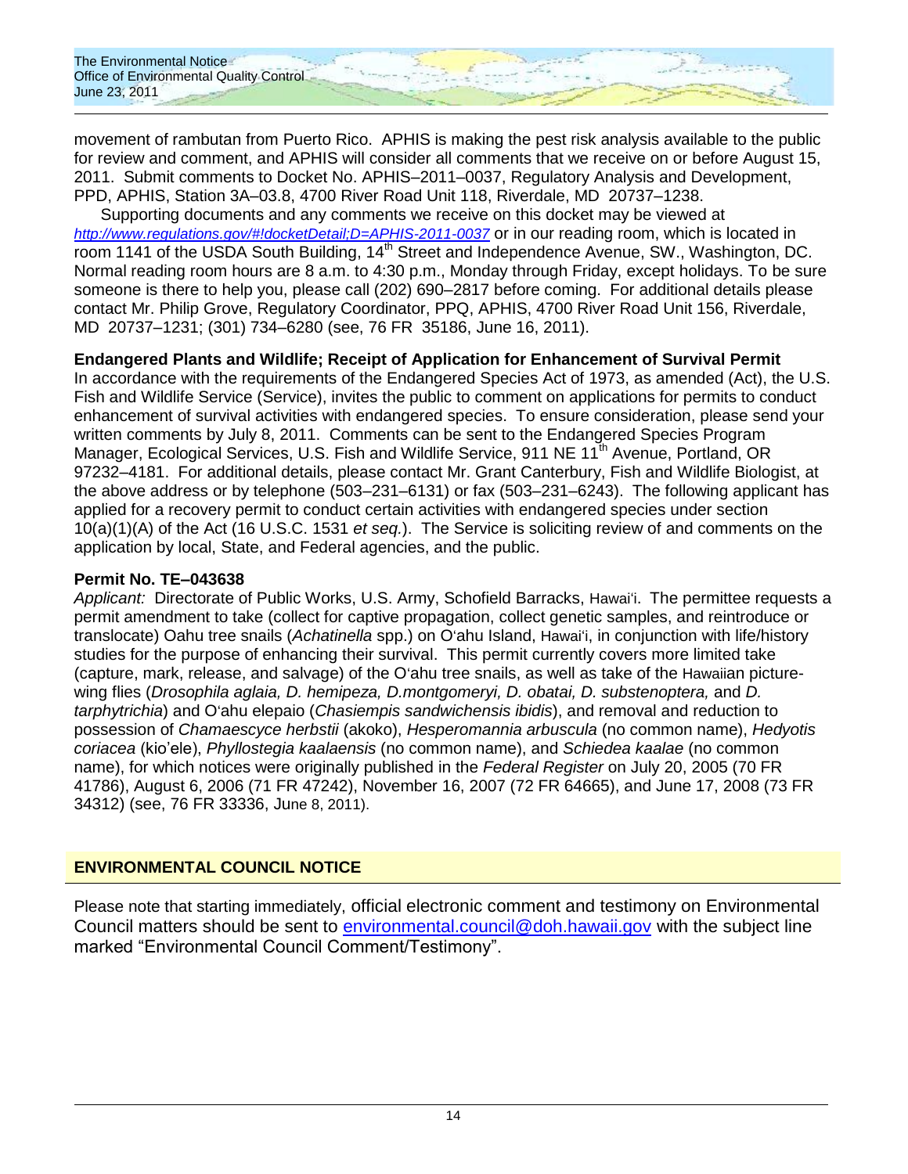The Environmental Notice **Office of Environmental Quality Control** June 23, 2011

movement of rambutan from Puerto Rico. APHIS is making the pest risk analysis available to the public for review and comment, and APHIS will consider all comments that we receive on or before August 15, 2011. Submit comments to Docket No. APHIS–2011–0037, Regulatory Analysis and Development, PPD, APHIS, Station 3A–03.8, 4700 River Road Unit 118, Riverdale, MD 20737–1238.

Supporting documents and any comments we receive on this docket may be viewed at *<http://www.regulations.gov/#!docketDetail;D=APHIS-2011-0037>* or in our reading room, which is located in room 1141 of the USDA South Building, 14<sup>th</sup> Street and Independence Avenue, SW., Washington, DC. Normal reading room hours are 8 a.m. to 4:30 p.m., Monday through Friday, except holidays. To be sure someone is there to help you, please call (202) 690–2817 before coming. For additional details please contact Mr. Philip Grove, Regulatory Coordinator, PPQ, APHIS, 4700 River Road Unit 156, Riverdale, MD 20737–1231; (301) 734–6280 (see, 76 FR 35186, June 16, 2011).

## **Endangered Plants and Wildlife; Receipt of Application for Enhancement of Survival Permit**

In accordance with the requirements of the Endangered Species Act of 1973, as amended (Act), the U.S. Fish and Wildlife Service (Service), invites the public to comment on applications for permits to conduct enhancement of survival activities with endangered species. To ensure consideration, please send your written comments by July 8, 2011. Comments can be sent to the Endangered Species Program Manager, Ecological Services, U.S. Fish and Wildlife Service, 911 NE 11<sup>th</sup> Avenue, Portland, OR 97232–4181. For additional details, please contact Mr. Grant Canterbury, Fish and Wildlife Biologist, at the above address or by telephone (503–231–6131) or fax (503–231–6243). The following applicant has applied for a recovery permit to conduct certain activities with endangered species under section 10(a)(1)(A) of the Act (16 U.S.C. 1531 *et seq.*). The Service is soliciting review of and comments on the application by local, State, and Federal agencies, and the public.

## **Permit No. TE–043638**

*Applicant:* Directorate of Public Works, U.S. Army, Schofield Barracks, Hawaiʻi. The permittee requests a permit amendment to take (collect for captive propagation, collect genetic samples, and reintroduce or translocate) Oahu tree snails (*Achatinella* spp.) on Oʻahu Island, Hawaiʻi, in conjunction with life/history studies for the purpose of enhancing their survival. This permit currently covers more limited take (capture, mark, release, and salvage) of the Oʻahu tree snails, as well as take of the Hawaiian picturewing flies (*Drosophila aglaia, D. hemipeza, D.montgomeryi, D. obatai, D. substenoptera,* and *D. tarphytrichia*) and Oʻahu elepaio (*Chasiempis sandwichensis ibidis*), and removal and reduction to possession of *Chamaescyce herbstii* (akoko), *Hesperomannia arbuscula* (no common name), *Hedyotis coriacea* (kio"ele), *Phyllostegia kaalaensis* (no common name), and *Schiedea kaalae* (no common name), for which notices were originally published in the *Federal Register* on July 20, 2005 (70 FR 41786), August 6, 2006 (71 FR 47242), November 16, 2007 (72 FR 64665), and June 17, 2008 (73 FR 34312) (see, 76 FR 33336, June 8, 2011).

## **ENVIRONMENTAL COUNCIL NOTICE**

Please note that starting immediately, official electronic comment and testimony on Environmental Council matters should be sent to [environmental.council@doh.hawaii.gov](mailto:environmental.council@doh.hawaii.gov) with the subject line marked "Environmental Council Comment/Testimony".